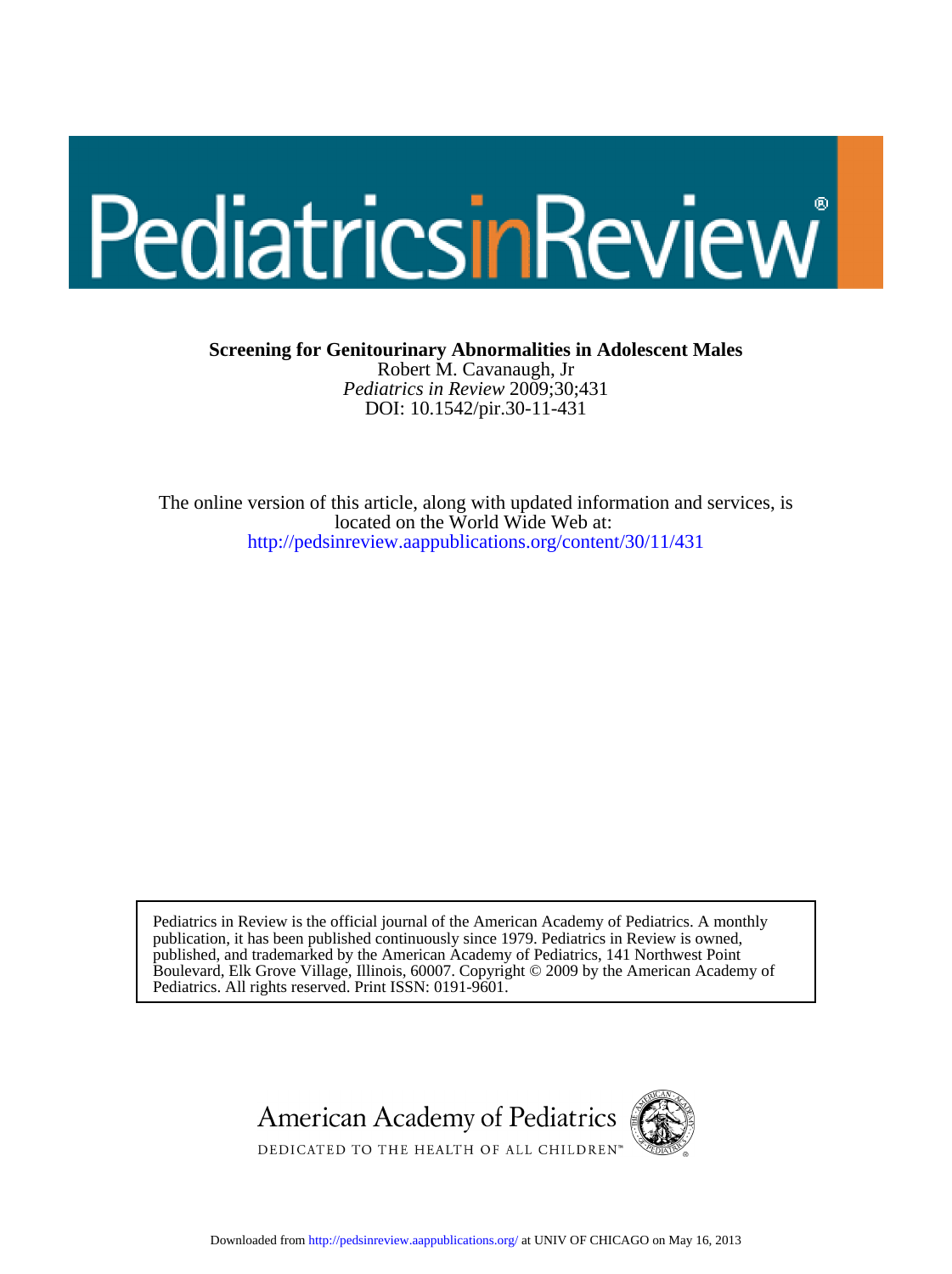

**Screening for Genitourinary Abnormalities in Adolescent Males**

DOI: 10.1542/pir.30-11-431 *Pediatrics in Review* 2009;30;431 Robert M. Cavanaugh, Jr

<http://pedsinreview.aappublications.org/content/30/11/431> located on the World Wide Web at: The online version of this article, along with updated information and services, is

Pediatrics. All rights reserved. Print ISSN: 0191-9601. Boulevard, Elk Grove Village, Illinois, 60007. Copyright © 2009 by the American Academy of published, and trademarked by the American Academy of Pediatrics, 141 Northwest Point publication, it has been published continuously since 1979. Pediatrics in Review is owned, Pediatrics in Review is the official journal of the American Academy of Pediatrics. A monthly

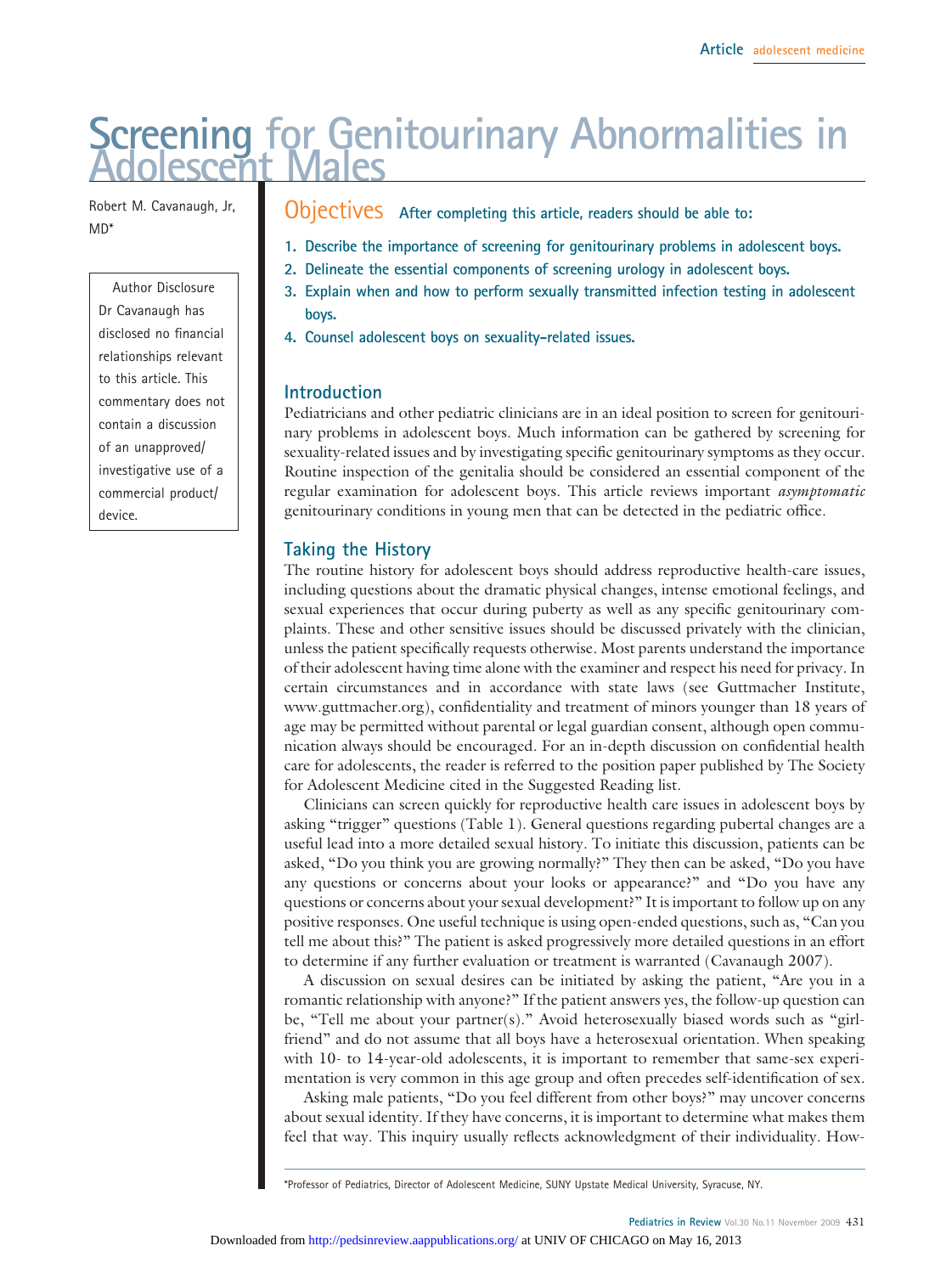# **Screening for Genitourinary Abnormalities in Adolescent Males**

Robert M. Cavanaugh, Jr, MD\*

Author Disclosure Dr Cavanaugh has disclosed no financial relationships relevant to this article. This commentary does not contain a discussion of an unapproved/ investigative use of a commercial product/ device.

# Objectives **After completing this article, readers should be able to:**

- **1. Describe the importance of screening for genitourinary problems in adolescent boys.**
- **2. Delineate the essential components of screening urology in adolescent boys.**
- **3. Explain when and how to perform sexually transmitted infection testing in adolescent boys.**
- **4. Counsel adolescent boys on sexuality-related issues.**

## **Introduction**

Pediatricians and other pediatric clinicians are in an ideal position to screen for genitourinary problems in adolescent boys. Much information can be gathered by screening for sexuality-related issues and by investigating specific genitourinary symptoms as they occur. Routine inspection of the genitalia should be considered an essential component of the regular examination for adolescent boys. This article reviews important *asymptomatic* genitourinary conditions in young men that can be detected in the pediatric office.

## **Taking the History**

The routine history for adolescent boys should address reproductive health-care issues, including questions about the dramatic physical changes, intense emotional feelings, and sexual experiences that occur during puberty as well as any specific genitourinary complaints. These and other sensitive issues should be discussed privately with the clinician, unless the patient specifically requests otherwise. Most parents understand the importance of their adolescent having time alone with the examiner and respect his need for privacy. In certain circumstances and in accordance with state laws (see Guttmacher Institute, www.guttmacher.org), confidentiality and treatment of minors younger than 18 years of age may be permitted without parental or legal guardian consent, although open communication always should be encouraged. For an in-depth discussion on confidential health care for adolescents, the reader is referred to the position paper published by The Society for Adolescent Medicine cited in the Suggested Reading list.

Clinicians can screen quickly for reproductive health care issues in adolescent boys by asking "trigger" questions (Table 1). General questions regarding pubertal changes are a useful lead into a more detailed sexual history. To initiate this discussion, patients can be asked, "Do you think you are growing normally?" They then can be asked, "Do you have any questions or concerns about your looks or appearance?" and "Do you have any questions or concerns about your sexual development?" It is important to follow up on any positive responses. One useful technique is using open-ended questions, such as, "Can you tell me about this?" The patient is asked progressively more detailed questions in an effort to determine if any further evaluation or treatment is warranted (Cavanaugh 2007).

A discussion on sexual desires can be initiated by asking the patient, "Are you in a romantic relationship with anyone?" If the patient answers yes, the follow-up question can be, "Tell me about your partner(s)." Avoid heterosexually biased words such as "girlfriend" and do not assume that all boys have a heterosexual orientation. When speaking with 10- to 14-year-old adolescents, it is important to remember that same-sex experimentation is very common in this age group and often precedes self-identification of sex.

Asking male patients, "Do you feel different from other boys?" may uncover concerns about sexual identity. If they have concerns, it is important to determine what makes them feel that way. This inquiry usually reflects acknowledgment of their individuality. How-

\*Professor of Pediatrics, Director of Adolescent Medicine, SUNY Upstate Medical University, Syracuse, NY.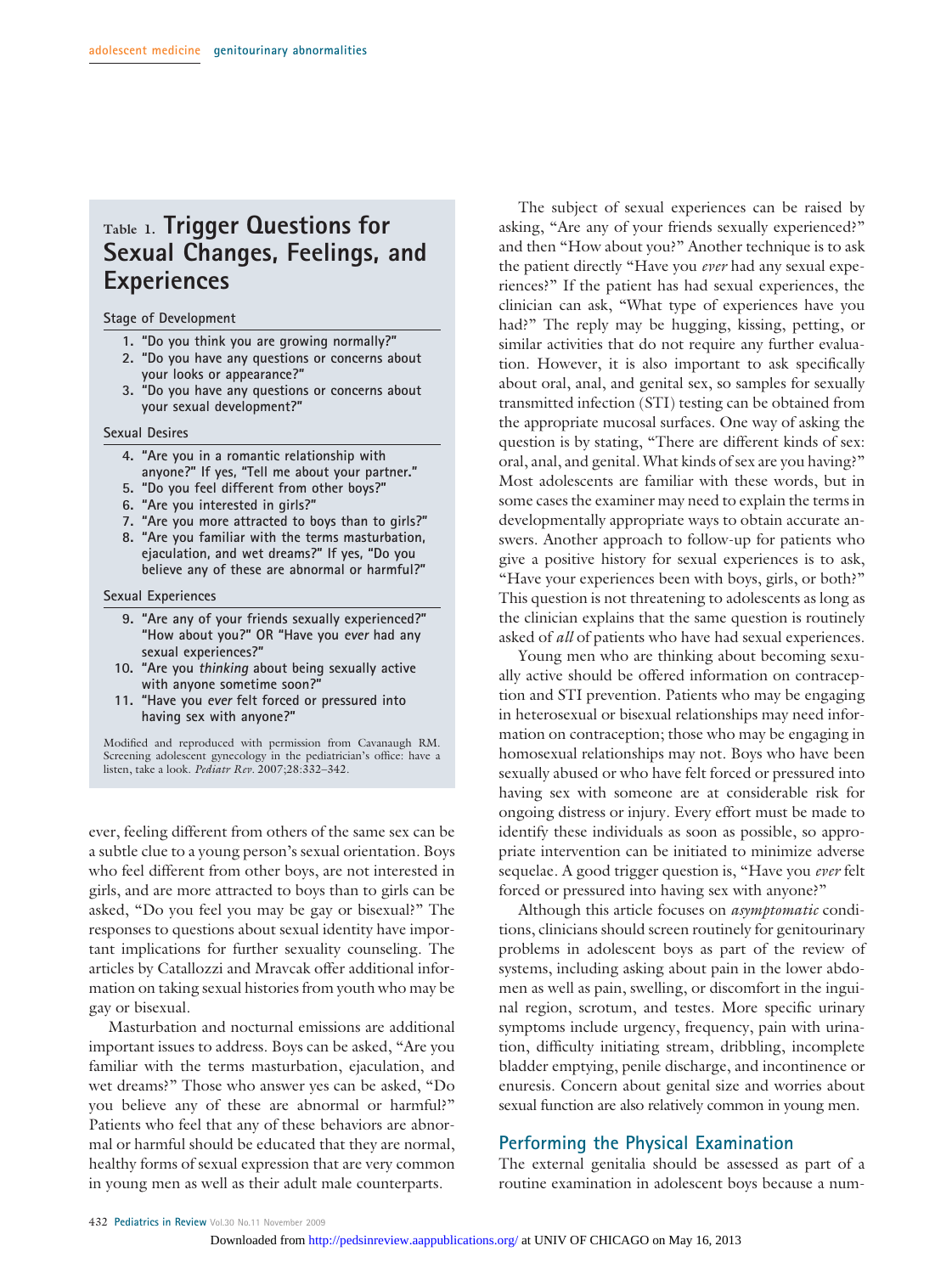# **Table 1. Trigger Questions for Sexual Changes, Feelings, and Experiences**

**Stage of Development**

- **1. "Do you think you are growing normally?"**
- **2. "Do you have any questions or concerns about your looks or appearance?"**
- **3. "Do you have any questions or concerns about your sexual development?"**

#### **Sexual Desires**

- **4. "Are you in a romantic relationship with anyone?" If yes, "Tell me about your partner."**
- **5. "Do you feel different from other boys?"**
- **6. "Are you interested in girls?"**
- **7. "Are you more attracted to boys than to girls?"**
- **8. "Are you familiar with the terms masturbation, ejaculation, and wet dreams?" If yes, "Do you believe any of these are abnormal or harmful?"**

#### **Sexual Experiences**

- **9. "Are any of your friends sexually experienced?" "How about you?" OR "Have you ever had any sexual experiences?"**
- **10. "Are you thinking about being sexually active with anyone sometime soon?"**
- **11. "Have you ever felt forced or pressured into having sex with anyone?"**

Modified and reproduced with permission from Cavanaugh RM. Screening adolescent gynecology in the pediatrician's office: have a listen, take a look. *Pediatr Rev.* 2007;28:332–342.

ever, feeling different from others of the same sex can be a subtle clue to a young person's sexual orientation. Boys who feel different from other boys, are not interested in girls, and are more attracted to boys than to girls can be asked, "Do you feel you may be gay or bisexual?" The responses to questions about sexual identity have important implications for further sexuality counseling. The articles by Catallozzi and Mravcak offer additional information on taking sexual histories from youth who may be gay or bisexual.

Masturbation and nocturnal emissions are additional important issues to address. Boys can be asked, "Are you familiar with the terms masturbation, ejaculation, and wet dreams?" Those who answer yes can be asked, "Do you believe any of these are abnormal or harmful?" Patients who feel that any of these behaviors are abnormal or harmful should be educated that they are normal, healthy forms of sexual expression that are very common in young men as well as their adult male counterparts.

The subject of sexual experiences can be raised by asking, "Are any of your friends sexually experienced?" and then "How about you?" Another technique is to ask the patient directly "Have you *ever* had any sexual experiences?" If the patient has had sexual experiences, the clinician can ask, "What type of experiences have you had?" The reply may be hugging, kissing, petting, or similar activities that do not require any further evaluation. However, it is also important to ask specifically about oral, anal, and genital sex, so samples for sexually transmitted infection (STI) testing can be obtained from the appropriate mucosal surfaces. One way of asking the question is by stating, "There are different kinds of sex: oral, anal, and genital. What kinds of sex are you having?" Most adolescents are familiar with these words, but in some cases the examiner may need to explain the terms in developmentally appropriate ways to obtain accurate answers. Another approach to follow-up for patients who give a positive history for sexual experiences is to ask, "Have your experiences been with boys, girls, or both?" This question is not threatening to adolescents as long as the clinician explains that the same question is routinely asked of *all* of patients who have had sexual experiences.

Young men who are thinking about becoming sexually active should be offered information on contraception and STI prevention. Patients who may be engaging in heterosexual or bisexual relationships may need information on contraception; those who may be engaging in homosexual relationships may not. Boys who have been sexually abused or who have felt forced or pressured into having sex with someone are at considerable risk for ongoing distress or injury. Every effort must be made to identify these individuals as soon as possible, so appropriate intervention can be initiated to minimize adverse sequelae. A good trigger question is, "Have you *ever* felt forced or pressured into having sex with anyone?"

Although this article focuses on *asymptomatic* conditions, clinicians should screen routinely for genitourinary problems in adolescent boys as part of the review of systems, including asking about pain in the lower abdomen as well as pain, swelling, or discomfort in the inguinal region, scrotum, and testes. More specific urinary symptoms include urgency, frequency, pain with urination, difficulty initiating stream, dribbling, incomplete bladder emptying, penile discharge, and incontinence or enuresis. Concern about genital size and worries about sexual function are also relatively common in young men.

## **Performing the Physical Examination**

The external genitalia should be assessed as part of a routine examination in adolescent boys because a num-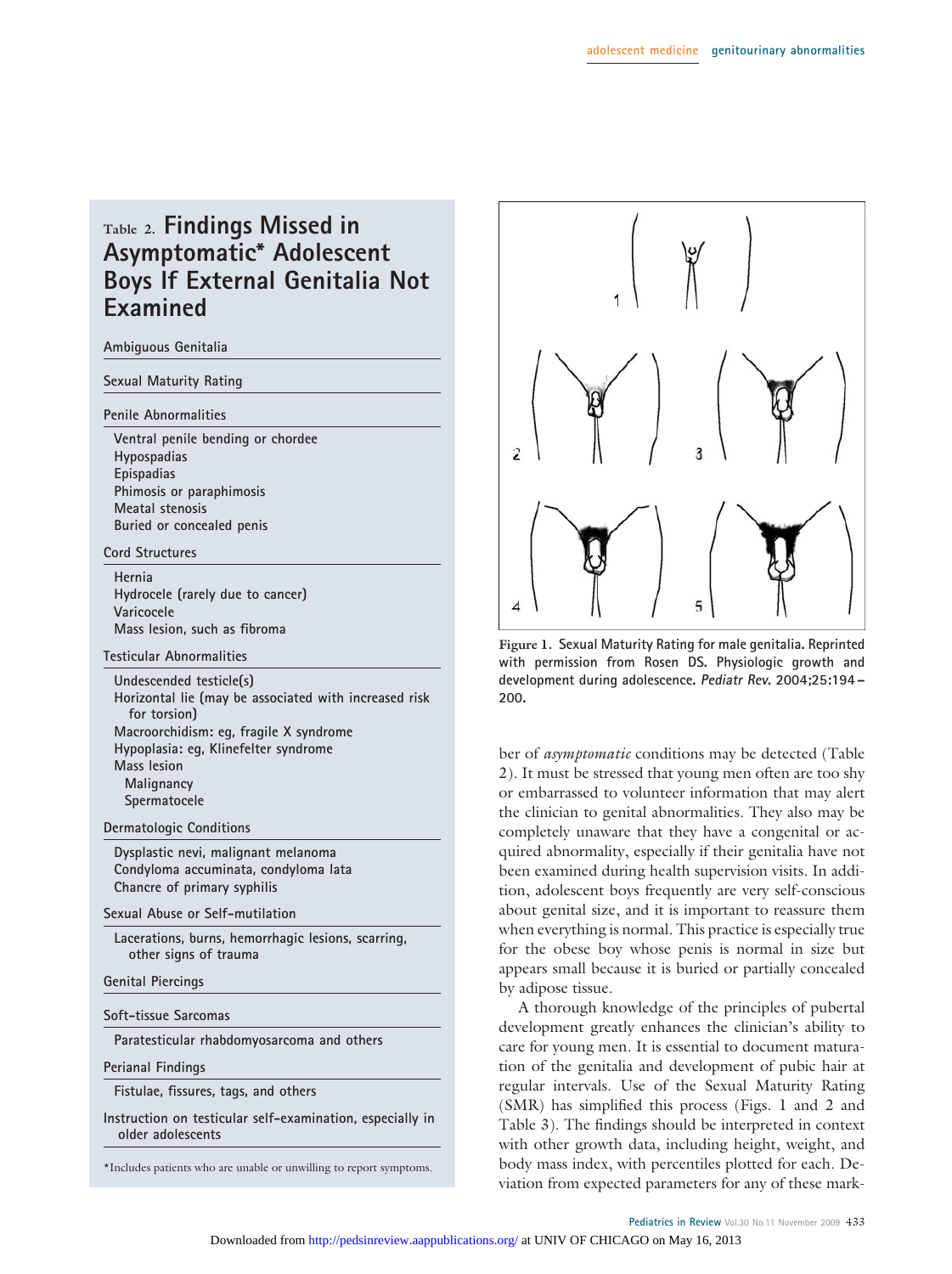# **Table 2. Findings Missed in Asymptomatic\* Adolescent Boys If External Genitalia Not Examined**

#### **Ambiguous Genitalia**

#### **Sexual Maturity Rating**

#### **Penile Abnormalities**

**Ventral penile bending or chordee Hypospadias Epispadias Phimosis or paraphimosis Meatal stenosis Buried or concealed penis**

#### **Cord Structures**

**Hernia Hydrocele (rarely due to cancer) Varicocele Mass lesion, such as fibroma**

#### **Testicular Abnormalities**

**Undescended testicle(s) Horizontal lie (may be associated with increased risk for torsion) Macroorchidism: eg, fragile X syndrome Hypoplasia: eg, Klinefelter syndrome Mass lesion Malignancy Spermatocele**

#### **Dermatologic Conditions**

**Dysplastic nevi, malignant melanoma Condyloma accuminata, condyloma lata Chancre of primary syphilis**

#### **Sexual Abuse or Self-mutilation**

**Lacerations, burns, hemorrhagic lesions, scarring, other signs of trauma**

#### **Genital Piercings**

#### **Soft-tissue Sarcomas**

**Paratesticular rhabdomyosarcoma and others**

#### **Perianal Findings**

**Fistulae, fissures, tags, and others**

**Instruction on testicular self-examination, especially in older adolescents**

\*Includes patients who are unable or unwilling to report symptoms.



**Figure 1. Sexual Maturity Rating for male genitalia. Reprinted with permission from Rosen DS. Physiologic growth and development during adolescence. Pediatr Rev. 2004;25:194– 200.**

ber of *asymptomatic* conditions may be detected (Table 2). It must be stressed that young men often are too shy or embarrassed to volunteer information that may alert the clinician to genital abnormalities. They also may be completely unaware that they have a congenital or acquired abnormality, especially if their genitalia have not been examined during health supervision visits. In addition, adolescent boys frequently are very self-conscious about genital size, and it is important to reassure them when everything is normal. This practice is especially true for the obese boy whose penis is normal in size but appears small because it is buried or partially concealed by adipose tissue.

A thorough knowledge of the principles of pubertal development greatly enhances the clinician's ability to care for young men. It is essential to document maturation of the genitalia and development of pubic hair at regular intervals. Use of the Sexual Maturity Rating (SMR) has simplified this process (Figs. 1 and 2 and Table 3). The findings should be interpreted in context with other growth data, including height, weight, and body mass index, with percentiles plotted for each. Deviation from expected parameters for any of these mark-

Pediatrics in Review Vol.30 No.11 November 2009 433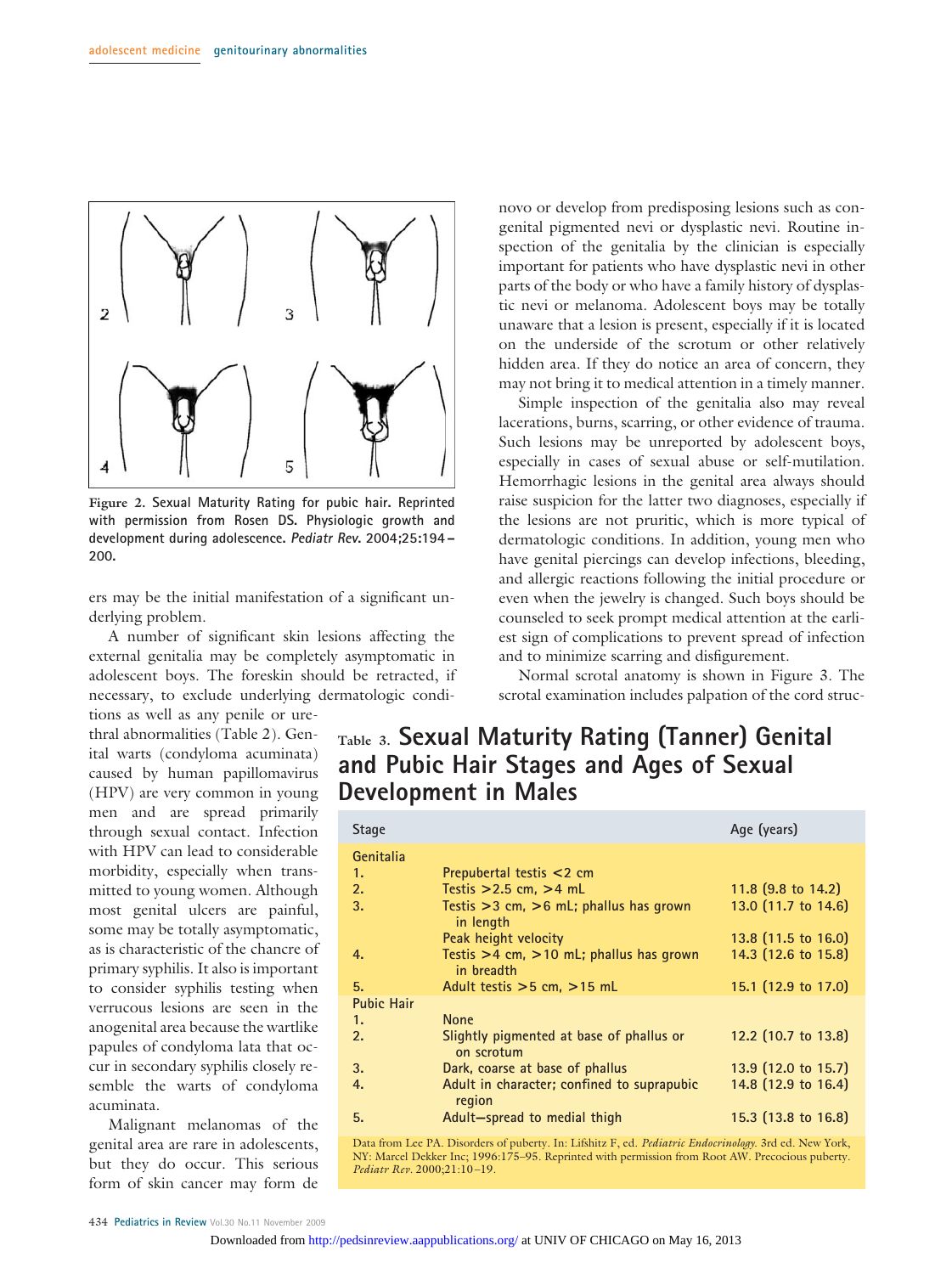

**Figure 2. Sexual Maturity Rating for pubic hair. Reprinted with permission from Rosen DS. Physiologic growth and development during adolescence. Pediatr Rev. 2004;25:194– 200.**

ers may be the initial manifestation of a significant underlying problem.

A number of significant skin lesions affecting the external genitalia may be completely asymptomatic in adolescent boys. The foreskin should be retracted, if necessary, to exclude underlying dermatologic condi-

tions as well as any penile or urethral abnormalities (Table 2). Genital warts (condyloma acuminata) caused by human papillomavirus (HPV) are very common in young men and are spread primarily through sexual contact. Infection with HPV can lead to considerable morbidity, especially when transmitted to young women. Although most genital ulcers are painful, some may be totally asymptomatic, as is characteristic of the chancre of primary syphilis. It also is important to consider syphilis testing when verrucous lesions are seen in the anogenital area because the wartlike papules of condyloma lata that occur in secondary syphilis closely resemble the warts of condyloma acuminata.

Malignant melanomas of the genital area are rare in adolescents, but they do occur. This serious form of skin cancer may form de

novo or develop from predisposing lesions such as congenital pigmented nevi or dysplastic nevi. Routine inspection of the genitalia by the clinician is especially important for patients who have dysplastic nevi in other parts of the body or who have a family history of dysplastic nevi or melanoma. Adolescent boys may be totally unaware that a lesion is present, especially if it is located on the underside of the scrotum or other relatively hidden area. If they do notice an area of concern, they may not bring it to medical attention in a timely manner.

Simple inspection of the genitalia also may reveal lacerations, burns, scarring, or other evidence of trauma. Such lesions may be unreported by adolescent boys, especially in cases of sexual abuse or self-mutilation. Hemorrhagic lesions in the genital area always should raise suspicion for the latter two diagnoses, especially if the lesions are not pruritic, which is more typical of dermatologic conditions. In addition, young men who have genital piercings can develop infections, bleeding, and allergic reactions following the initial procedure or even when the jewelry is changed. Such boys should be counseled to seek prompt medical attention at the earliest sign of complications to prevent spread of infection and to minimize scarring and disfigurement.

Normal scrotal anatomy is shown in Figure 3. The scrotal examination includes palpation of the cord struc-

# **Table 3. Sexual Maturity Rating (Tanner) Genital and Pubic Hair Stages and Ages of Sexual Development in Males**

| <b>Stage</b>      |                                                           | Age (years)                   |
|-------------------|-----------------------------------------------------------|-------------------------------|
| Genitalia         |                                                           |                               |
| 1.                | Prepubertal testis <2 cm                                  |                               |
| 2.                | Testis $>2.5$ cm, $>4$ mL                                 | 11.8 $(9.8 \text{ to } 14.2)$ |
| 3.                | Testis $>$ 3 cm, $>$ 6 mL; phallus has grown<br>in length | 13.0 (11.7 to 14.6)           |
|                   | Peak height velocity                                      | 13.8 (11.5 to 16.0)           |
| 4.                | Testis $>4$ cm, $>10$ mL; phallus has grown<br>in breadth | 14.3 (12.6 to 15.8)           |
| 5.                | Adult testis $>$ 5 cm, $>$ 15 mL                          | 15.1 (12.9 to 17.0)           |
| <b>Pubic Hair</b> |                                                           |                               |
| 1.                | <b>None</b>                                               |                               |
| 2.                | Slightly pigmented at base of phallus or<br>on scrotum    | 12.2 (10.7 to 13.8)           |
| 3.                | Dark, coarse at base of phallus                           | 13.9 (12.0 to 15.7)           |
| 4.                | Adult in character; confined to suprapubic<br>region      | 14.8 (12.9 to 16.4)           |
| 5.                | Adult-spread to medial thigh                              | 15.3 (13.8 to 16.8)           |

Data from Lee PA. Disorders of puberty. In: Lifshitz F, ed. *Pediatric Endocrinology*. 3rd ed. New York, NY: Marcel Dekker Inc; 1996:175–95. Reprinted with permission from Root AW. Precocious puberty. *Pediatr Rev.* 2000;21:10 –19.

434 **Pediatrics in Review** Vol.30 No.11 November 2009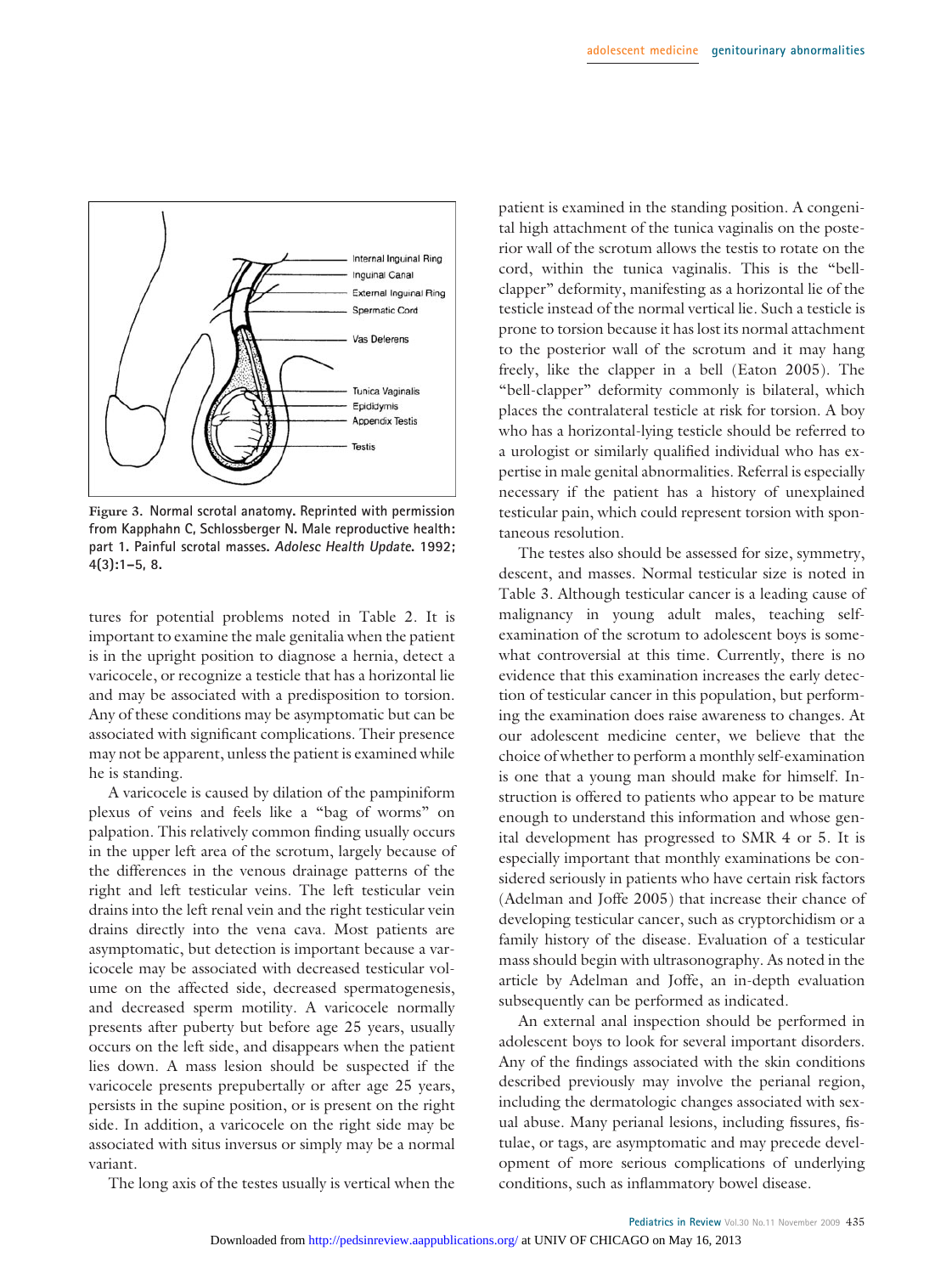

**Figure 3. Normal scrotal anatomy. Reprinted with permission from Kapphahn C, Schlossberger N. Male reproductive health: part 1. Painful scrotal masses. Adolesc Health Update. 1992; 4(3):1–5, 8.**

tures for potential problems noted in Table 2. It is important to examine the male genitalia when the patient is in the upright position to diagnose a hernia, detect a varicocele, or recognize a testicle that has a horizontal lie and may be associated with a predisposition to torsion. Any of these conditions may be asymptomatic but can be associated with significant complications. Their presence may not be apparent, unless the patient is examined while he is standing.

A varicocele is caused by dilation of the pampiniform plexus of veins and feels like a "bag of worms" on palpation. This relatively common finding usually occurs in the upper left area of the scrotum, largely because of the differences in the venous drainage patterns of the right and left testicular veins. The left testicular vein drains into the left renal vein and the right testicular vein drains directly into the vena cava. Most patients are asymptomatic, but detection is important because a varicocele may be associated with decreased testicular volume on the affected side, decreased spermatogenesis, and decreased sperm motility. A varicocele normally presents after puberty but before age 25 years, usually occurs on the left side, and disappears when the patient lies down. A mass lesion should be suspected if the varicocele presents prepubertally or after age 25 years, persists in the supine position, or is present on the right side. In addition, a varicocele on the right side may be associated with situs inversus or simply may be a normal variant.

The long axis of the testes usually is vertical when the

patient is examined in the standing position. A congenital high attachment of the tunica vaginalis on the posterior wall of the scrotum allows the testis to rotate on the cord, within the tunica vaginalis. This is the "bellclapper" deformity, manifesting as a horizontal lie of the testicle instead of the normal vertical lie. Such a testicle is prone to torsion because it has lost its normal attachment to the posterior wall of the scrotum and it may hang freely, like the clapper in a bell (Eaton 2005). The "bell-clapper" deformity commonly is bilateral, which places the contralateral testicle at risk for torsion. A boy who has a horizontal-lying testicle should be referred to a urologist or similarly qualified individual who has expertise in male genital abnormalities. Referral is especially necessary if the patient has a history of unexplained testicular pain, which could represent torsion with spontaneous resolution.

The testes also should be assessed for size, symmetry, descent, and masses. Normal testicular size is noted in Table 3. Although testicular cancer is a leading cause of malignancy in young adult males, teaching selfexamination of the scrotum to adolescent boys is somewhat controversial at this time. Currently, there is no evidence that this examination increases the early detection of testicular cancer in this population, but performing the examination does raise awareness to changes. At our adolescent medicine center, we believe that the choice of whether to perform a monthly self-examination is one that a young man should make for himself. Instruction is offered to patients who appear to be mature enough to understand this information and whose genital development has progressed to SMR 4 or 5. It is especially important that monthly examinations be considered seriously in patients who have certain risk factors (Adelman and Joffe 2005) that increase their chance of developing testicular cancer, such as cryptorchidism or a family history of the disease. Evaluation of a testicular mass should begin with ultrasonography. As noted in the article by Adelman and Joffe, an in-depth evaluation subsequently can be performed as indicated.

An external anal inspection should be performed in adolescent boys to look for several important disorders. Any of the findings associated with the skin conditions described previously may involve the perianal region, including the dermatologic changes associated with sexual abuse. Many perianal lesions, including fissures, fistulae, or tags, are asymptomatic and may precede development of more serious complications of underlying conditions, such as inflammatory bowel disease.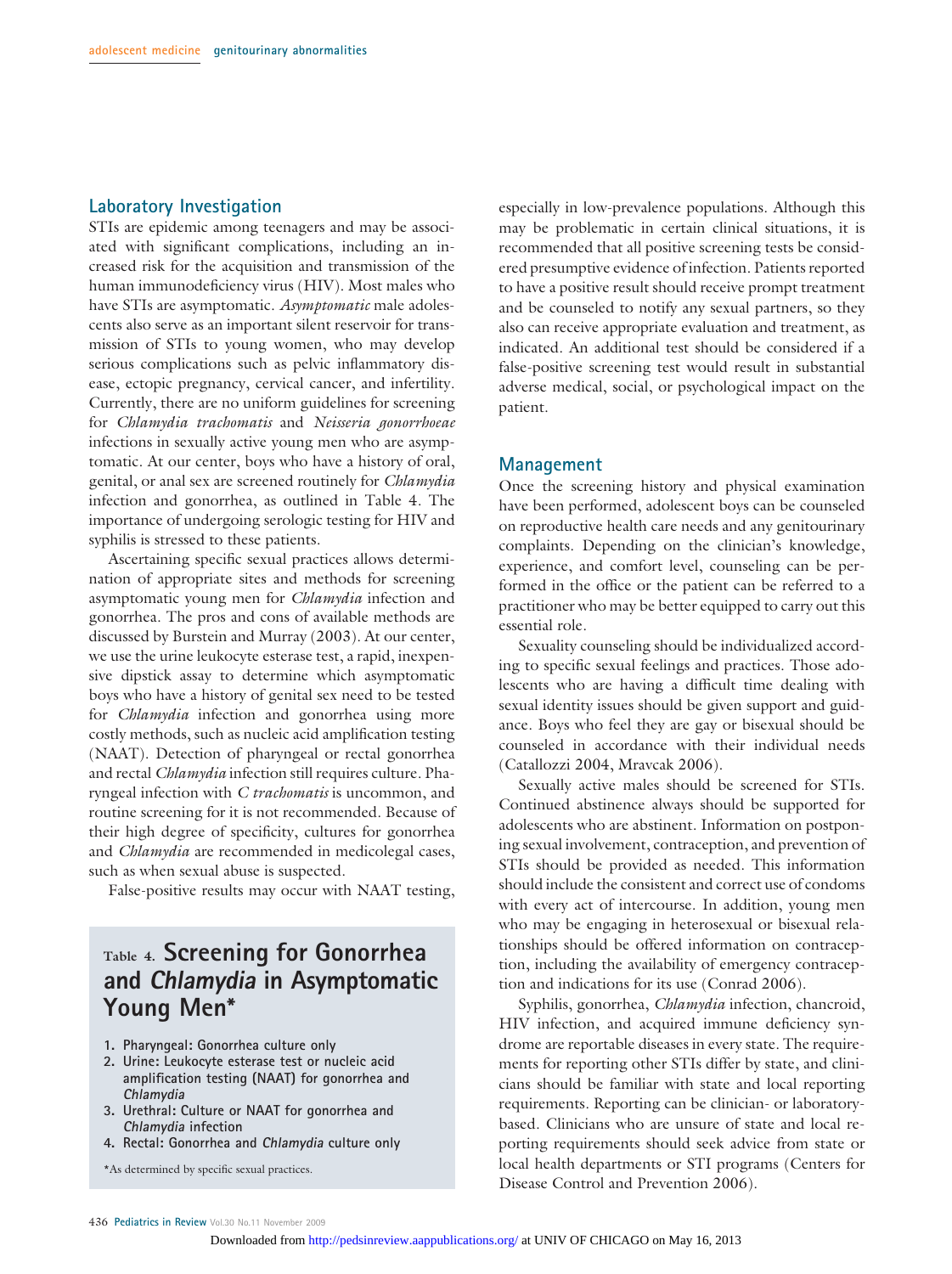## **Laboratory Investigation**

STIs are epidemic among teenagers and may be associated with significant complications, including an increased risk for the acquisition and transmission of the human immunodeficiency virus (HIV). Most males who have STIs are asymptomatic. *Asymptomatic* male adolescents also serve as an important silent reservoir for transmission of STIs to young women, who may develop serious complications such as pelvic inflammatory disease, ectopic pregnancy, cervical cancer, and infertility. Currently, there are no uniform guidelines for screening for *Chlamydia trachomatis* and *Neisseria gonorrhoeae* infections in sexually active young men who are asymptomatic. At our center, boys who have a history of oral, genital, or anal sex are screened routinely for *Chlamydia* infection and gonorrhea, as outlined in Table 4. The importance of undergoing serologic testing for HIV and syphilis is stressed to these patients.

Ascertaining specific sexual practices allows determination of appropriate sites and methods for screening asymptomatic young men for *Chlamydia* infection and gonorrhea. The pros and cons of available methods are discussed by Burstein and Murray (2003). At our center, we use the urine leukocyte esterase test, a rapid, inexpensive dipstick assay to determine which asymptomatic boys who have a history of genital sex need to be tested for *Chlamydia* infection and gonorrhea using more costly methods, such as nucleic acid amplification testing (NAAT). Detection of pharyngeal or rectal gonorrhea and rectal *Chlamydia* infection still requires culture. Pharyngeal infection with *C trachomatis* is uncommon, and routine screening for it is not recommended. Because of their high degree of specificity, cultures for gonorrhea and *Chlamydia* are recommended in medicolegal cases, such as when sexual abuse is suspected.

False-positive results may occur with NAAT testing,

# **Table 4. Screening for Gonorrhea and Chlamydia in Asymptomatic Young Men\***

- **1. Pharyngeal: Gonorrhea culture only**
- **2. Urine: Leukocyte esterase test or nucleic acid amplification testing (NAAT) for gonorrhea and Chlamydia**
- **3. Urethral: Culture or NAAT for gonorrhea and Chlamydia infection**
- **4. Rectal: Gonorrhea and Chlamydia culture only**

\*As determined by specific sexual practices.

especially in low-prevalence populations. Although this may be problematic in certain clinical situations, it is recommended that all positive screening tests be considered presumptive evidence of infection. Patients reported to have a positive result should receive prompt treatment and be counseled to notify any sexual partners, so they also can receive appropriate evaluation and treatment, as indicated. An additional test should be considered if a false-positive screening test would result in substantial adverse medical, social, or psychological impact on the patient.

## **Management**

Once the screening history and physical examination have been performed, adolescent boys can be counseled on reproductive health care needs and any genitourinary complaints. Depending on the clinician's knowledge, experience, and comfort level, counseling can be performed in the office or the patient can be referred to a practitioner who may be better equipped to carry out this essential role.

Sexuality counseling should be individualized according to specific sexual feelings and practices. Those adolescents who are having a difficult time dealing with sexual identity issues should be given support and guidance. Boys who feel they are gay or bisexual should be counseled in accordance with their individual needs (Catallozzi 2004, Mravcak 2006).

Sexually active males should be screened for STIs. Continued abstinence always should be supported for adolescents who are abstinent. Information on postponing sexual involvement, contraception, and prevention of STIs should be provided as needed. This information should include the consistent and correct use of condoms with every act of intercourse. In addition, young men who may be engaging in heterosexual or bisexual relationships should be offered information on contraception, including the availability of emergency contraception and indications for its use (Conrad 2006).

Syphilis, gonorrhea, *Chlamydia* infection, chancroid, HIV infection, and acquired immune deficiency syndrome are reportable diseases in every state. The requirements for reporting other STIs differ by state, and clinicians should be familiar with state and local reporting requirements. Reporting can be clinician- or laboratorybased. Clinicians who are unsure of state and local reporting requirements should seek advice from state or local health departments or STI programs (Centers for Disease Control and Prevention 2006).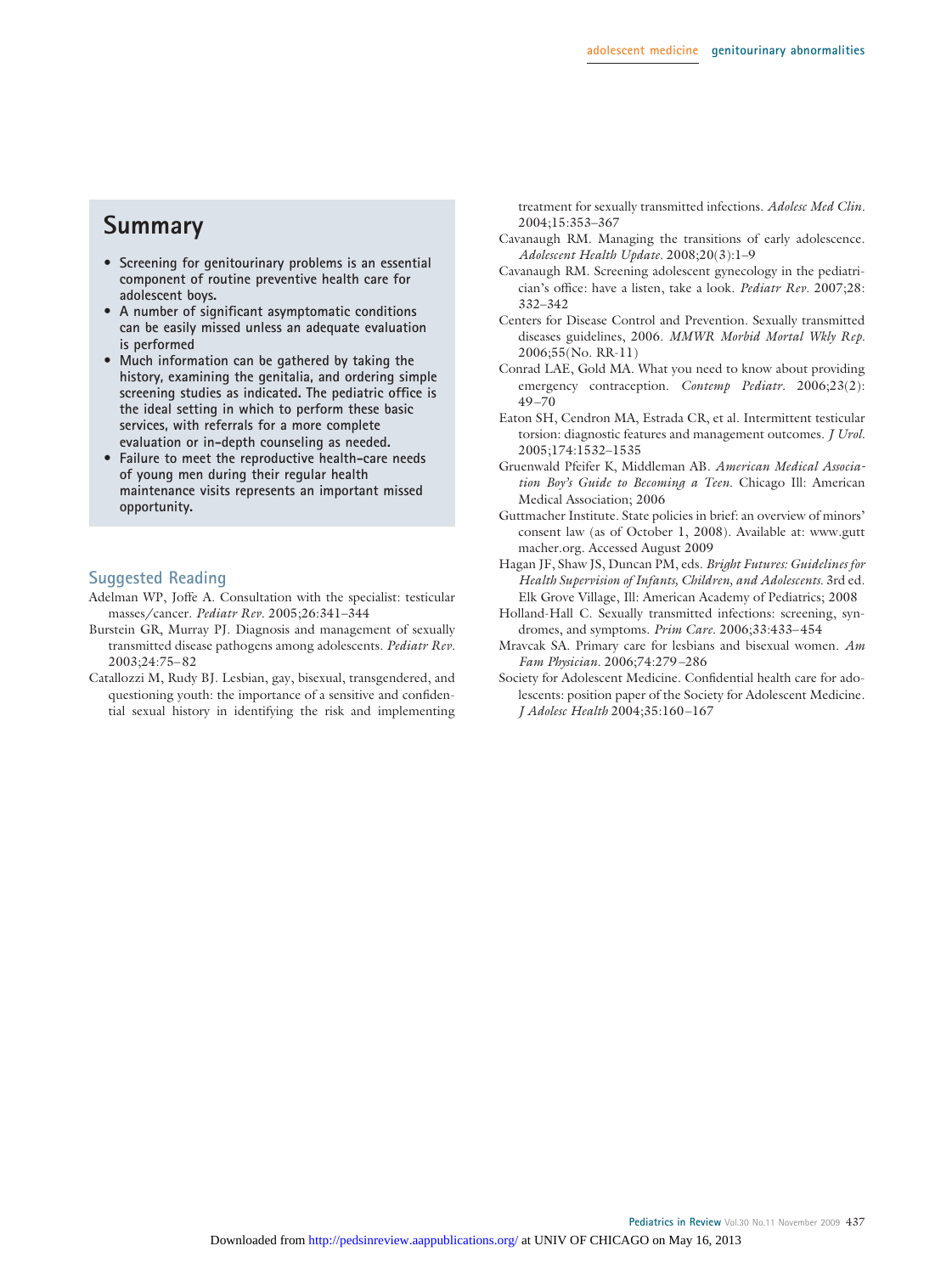# **Summary**

- **Screening for genitourinary problems is an essential component of routine preventive health care for adolescent boys.**
- **A number of significant asymptomatic conditions can be easily missed unless an adequate evaluation is performed**
- **Much information can be gathered by taking the history, examining the genitalia, and ordering simple screening studies as indicated. The pediatric office is the ideal setting in which to perform these basic services, with referrals for a more complete evaluation or in-depth counseling as needed.**
- **Failure to meet the reproductive health-care needs of young men during their regular health maintenance visits represents an important missed opportunity.**

## **Suggested Reading**

- Adelman WP, Joffe A. Consultation with the specialist: testicular masses/cancer. *Pediatr Rev*. 2005;26:341–344
- Burstein GR, Murray PJ. Diagnosis and management of sexually transmitted disease pathogens among adolescents. *Pediatr Rev.* 2003;24:75– 82
- Catallozzi M, Rudy BJ. Lesbian, gay, bisexual, transgendered, and questioning youth: the importance of a sensitive and confidential sexual history in identifying the risk and implementing

treatment for sexually transmitted infections. *Adolesc Med Clin.* 2004;15:353–367

- Cavanaugh RM. Managing the transitions of early adolescence. *Adolescent Health Update.* 2008;20(3):1–9
- Cavanaugh RM. Screening adolescent gynecology in the pediatrician's office: have a listen, take a look. *Pediatr Rev.* 2007;28: 332–342
- Centers for Disease Control and Prevention. Sexually transmitted diseases guidelines, 2006. *MMWR Morbid Mortal Wkly Rep.* 2006;55(No. RR-11)
- Conrad LAE, Gold MA. What you need to know about providing emergency contraception. *Contemp Pediatr.* 2006;23(2):  $49 - 70$
- Eaton SH, Cendron MA, Estrada CR, et al. Intermittent testicular torsion: diagnostic features and management outcomes. *J Urol.* 2005;174:1532–1535
- Gruenwald Pfeifer K, Middleman AB. *American Medical Association Boy's Guide to Becoming a Teen*. Chicago Ill: American Medical Association; 2006
- Guttmacher Institute. State policies in brief: an overview of minors' consent law (as of October 1, 2008). Available at: www.gutt macher.org. Accessed August 2009
- Hagan JF, Shaw JS, Duncan PM, eds. *Bright Futures: Guidelines for Health Supervision of Infants, Children, and Adolescents.* 3rd ed. Elk Grove Village, Ill: American Academy of Pediatrics; 2008
- Holland-Hall C. Sexually transmitted infections: screening, syndromes, and symptoms. *Prim Care*. 2006;33:433– 454
- Mravcak SA. Primary care for lesbians and bisexual women. *Am Fam Physician.* 2006;74:279 –286
- Society for Adolescent Medicine. Confidential health care for adolescents: position paper of the Society for Adolescent Medicine. *J Adolesc Health* 2004;35:160 –167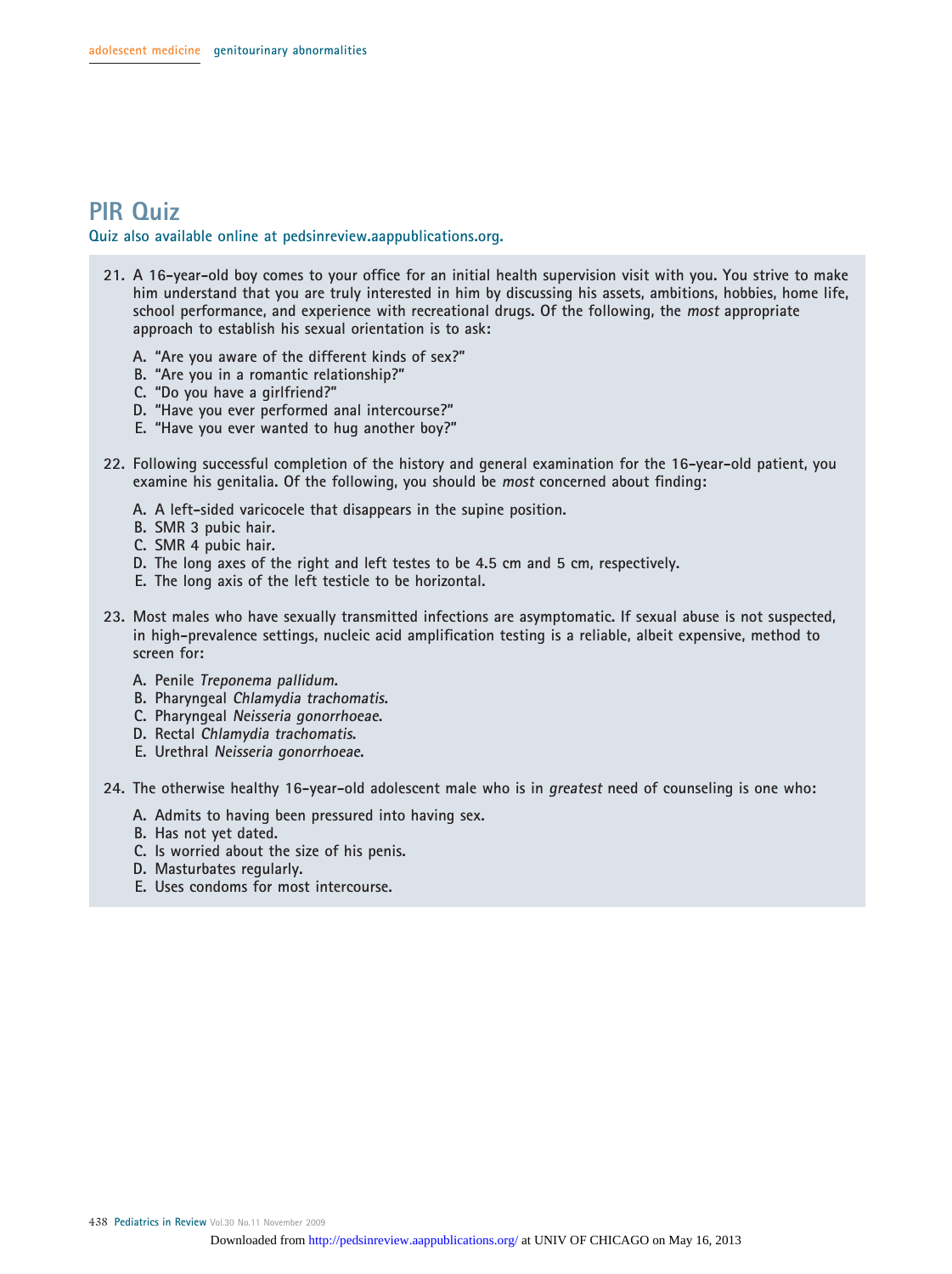# **PIR Quiz**

## **Quiz also available online at pedsinreview.aappublications.org.**

- **21. A 16-year-old boy comes to your office for an initial health supervision visit with you. You strive to make him understand that you are truly interested in him by discussing his assets, ambitions, hobbies, home life, school performance, and experience with recreational drugs. Of the following, the most appropriate approach to establish his sexual orientation is to ask:**
	- **A. "Are you aware of the different kinds of sex?"**
	- **B. "Are you in a romantic relationship?"**
	- **C. "Do you have a girlfriend?"**
	- **D. "Have you ever performed anal intercourse?"**
	- **E. "Have you ever wanted to hug another boy?"**
- **22. Following successful completion of the history and general examination for the 16-year-old patient, you examine his genitalia. Of the following, you should be most concerned about finding:**
	- **A. A left-sided varicocele that disappears in the supine position.**
	- **B. SMR 3 pubic hair.**
	- **C. SMR 4 pubic hair.**
	- **D. The long axes of the right and left testes to be 4.5 cm and 5 cm, respectively.**
	- **E. The long axis of the left testicle to be horizontal.**
- **23. Most males who have sexually transmitted infections are asymptomatic. If sexual abuse is not suspected, in high-prevalence settings, nucleic acid amplification testing is a reliable, albeit expensive, method to screen for:**
	- **A. Penile Treponema pallidum.**
	- **B. Pharyngeal Chlamydia trachomatis.**
	- **C. Pharyngeal Neisseria gonorrhoeae.**
	- **D. Rectal Chlamydia trachomatis.**
	- **E. Urethral Neisseria gonorrhoeae.**

**24. The otherwise healthy 16-year-old adolescent male who is in greatest need of counseling is one who:**

- **A. Admits to having been pressured into having sex.**
- **B. Has not yet dated.**
- **C. Is worried about the size of his penis.**
- **D. Masturbates regularly.**
- **E. Uses condoms for most intercourse.**